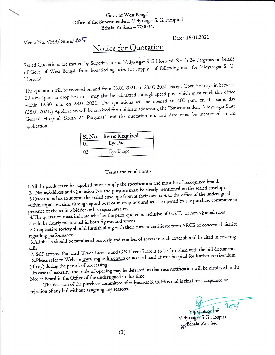## Govt. of West Bengal Office of the Superintendent, Vidyasagar S. G. Hospital Behala, Kolkata - 700034.

Memo No. VHB/Store/605

Date: 16.01.2021

## Notice for Quotation

Sealed Quotations are invited by Superintendent, Vidyasagar S G Hospital, South 24 Parganas on behalf of Govt. of West Bengal, from bonafied agencies for supply of following item for Vidyasagar S. G. Hospital.

The quotation will be received on and from 18.01.2021. to 28.01.2021. except Govt. holidays in between IO a.m.-4p.m. in drop box or it may also be submitted through speed post which must reach this office within I2.30 p.m. on 28.01.2021. The quotations will be opened at 2.00 p.m. on the same day (28.01.2021.) Application will be received from bidders addressing the "Superintendent, Vidyasagar State General Hospital, South 24 Parganas" and the quotation no. and date must be mentioned in the application.

|    | Sl No.   Items Required |  |
|----|-------------------------|--|
| 0I | Eye Pad                 |  |
| 02 | Eye Drape               |  |

Terms and conditions:-

I.All the products to be supplied must comply the specification and must be of recognized brand.

2.. Name, Address and Quotation No and purpose must be clearly mentioned on the sealed envelope.

3. Quotations has to submit the sealed envelope from at their own cost to the office of the undersigned within stipulated time through speed post or in drop box and will be opened by the purchase committee in presence of the willing bidder or his representative.

4. The quotation must indicate whether the price quoted is inclusive of G.S.T. or not. Quoted rates should be clearly mentioned in both figures and words.

5. Cooperative society should furnish along with their current certificate from ARCS of concerned district

regarding performance. 6.All sheets should be numbered properly and number of sheets in each cover should be cited in covering

7. Self attested Pan card , Trade License and G S T certificate is to be furnished with the bid documents. tally. 8.Please refer to Website www.spghealth.gov.in or notice board of this hospital for further corrigendum

(if any) during the period of processing.

In case of necessity, the trade of opening may be deferred, in that case notification will be displayed in the Notice Board in the Office of the undersigned in due time.

The decision of the purchase committee of vidyasagar S. G. Hospital is final for acceptance or rejection of any bid without assigning any reasons.

201 Superintendent

Vidyasagar S G Hospital Behala ,Kol-34.